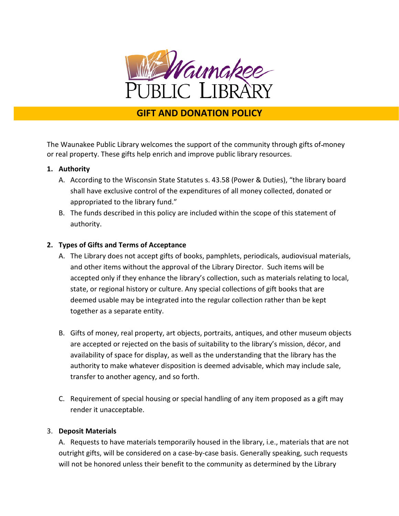

# **GIFT AND DONATION POLICY**

The Waunakee Public Library welcomes the support of the community through gifts of money or real property. These gifts help enrich and improve public library resources.

### **1. Authority**

- A. According to the Wisconsin State Statutes s. 43.58 (Power & Duties), "the library board shall have exclusive control of the expenditures of all money collected, donated or appropriated to the library fund."
- B. The funds described in this policy are included within the scope of this statement of authority.

### **2. Types of Gifts and Terms of Acceptance**

- A. The Library does not accept gifts of books, pamphlets, periodicals, audiovisual materials, and other items without the approval of the Library Director. Such items will be accepted only if they enhance the library's collection, such as materials relating to local, state, or regional history or culture. Any special collections of gift books that are deemed usable may be integrated into the regular collection rather than be kept together as a separate entity.
- B. Gifts of money, real property, art objects, portraits, antiques, and other museum objects are accepted or rejected on the basis of suitability to the library's mission, décor, and availability of space for display, as well as the understanding that the library has the authority to make whatever disposition is deemed advisable, which may include sale, transfer to another agency, and so forth.
- C. Requirement of special housing or special handling of any item proposed as a gift may render it unacceptable.

#### 3. **Deposit Materials**

A. Requests to have materials temporarily housed in the library, i.e., materials that are not outright gifts, will be considered on a case-by-case basis. Generally speaking, such requests will not be honored unless their benefit to the community as determined by the Library